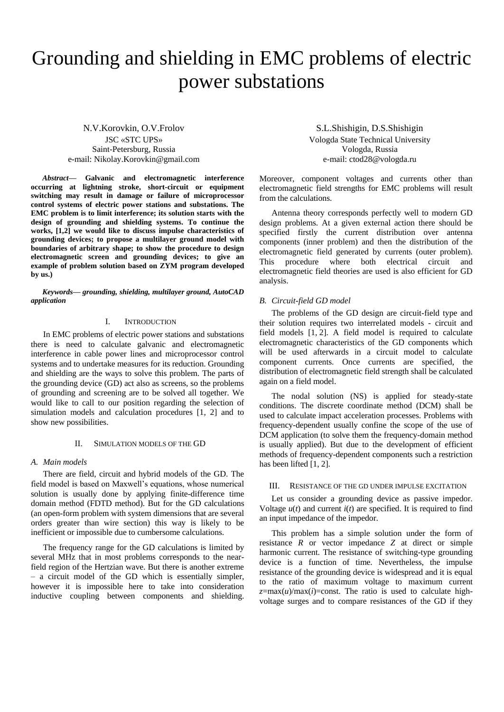# Grounding and shielding in EMC problems of electric power substations

N.V.Korovkin, O.V.Frolov JSC «STC UPS» Saint-Petersburg, Russia e-mail: Nikolay.Korovkin@gmail.com

*Abstract***— Galvanic and electromagnetic interference occurring at lightning stroke, short-circuit or equipment switching may result in damage or failure of microprocessor control systems of electric power stations and substations. The EMC problem is to limit interference; its solution starts with the design of grounding and shielding systems. To continue the works, [1,2] we would like to discuss impulse characteristics of grounding devices; to propose a multilayer ground model with boundaries of arbitrary shape; to show the procedure to design electromagnetic screen and grounding devices; to give an example of problem solution based on ZYM program developed by us.)**

*Keywords— grounding, shielding, multilayer ground, AutoCAD application*

#### I. INTRODUCTION

In EMC problems of electric power stations and substations there is need to calculate galvanic and electromagnetic interference in cable power lines and microprocessor control systems and to undertake measures for its reduction. Grounding and shielding are the ways to solve this problem. The parts of the grounding device (GD) act also as screens, so the problems of grounding and screening are to be solved all together. We would like to call to our position regarding the selection of simulation models and calculation procedures [1, 2] and to show new possibilities.

#### II. SIMULATION MODELS OF THE GD

#### *A. Main models*

There are field, circuit and hybrid models of the GD. The field model is based on Maxwell's equations, whose numerical solution is usually done by applying finite-difference time domain method (FDTD method). But for the GD calculations (an open-form problem with system dimensions that are several orders greater than wire section) this way is likely to be inefficient or impossible due to cumbersome calculations.

The frequency range for the GD calculations is limited by several MHz that in most problems corresponds to the nearfield region of the Hertzian wave. But there is another extreme – a circuit model of the GD which is essentially simpler, however it is impossible here to take into consideration inductive coupling between components and shielding.

S.L.Shishigin, D.S.Shishigin Vologda State Technical University Vologda, Russia e-mail: ctod28@vologda.ru

Moreover, component voltages and currents other than electromagnetic field strengths for EMC problems will result from the calculations.

Antenna theory corresponds perfectly well to modern GD design problems. At a given external action there should be specified firstly the current distribution over antenna components (inner problem) and then the distribution of the electromagnetic field generated by currents (outer problem). This procedure where both electrical circuit and electromagnetic field theories are used is also efficient for GD analysis.

#### *B. Circuit-field GD model*

The problems of the GD design are circuit-field type and their solution requires two interrelated models - circuit and field models [1, 2]. A field model is required to calculate electromagnetic characteristics of the GD components which will be used afterwards in a circuit model to calculate component currents. Once currents are specified, the distribution of electromagnetic field strength shall be calculated again on a field model.

The nodal solution (NS) is applied for steady-state conditions. The discrete coordinate method (DCM) shall be used to calculate impact acceleration processes. Problems with frequency-dependent usually confine the scope of the use of DCM application (to solve them the frequency-domain method is usually applied). But due to the development of efficient methods of frequency-dependent components such a restriction has been lifted [1, 2].

#### III. RESISTANCE OF THE GD UNDER IMPULSE EXCITATION

Let us consider a grounding device as passive impedor. Voltage  $u(t)$  and current  $i(t)$  are specified. It is required to find an input impedance of the impedor.

This problem has a simple solution under the form of resistance *R* or vector impedance *Z* at direct or simple harmonic current. The resistance of switching-type grounding device is a function of time. Nevertheless, the impulse resistance of the grounding device is widespread and it is equal to the ratio of maximum voltage to maximum current  $z = max(u)/max(i) = const.$  The ratio is used to calculate highvoltage surges and to compare resistances of the GD if they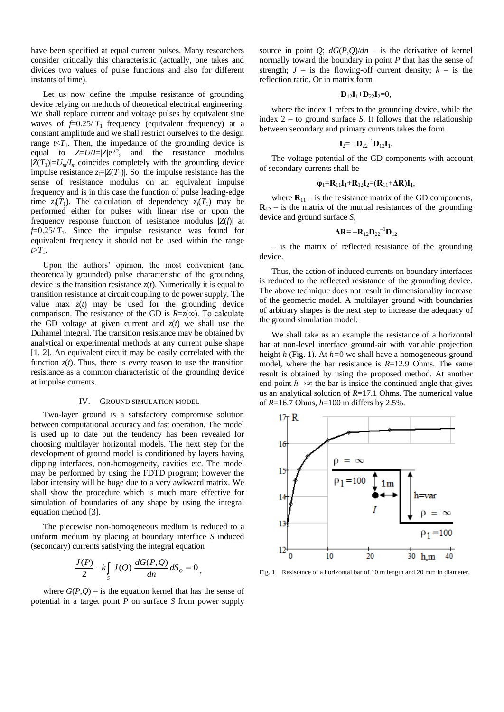have been specified at equal current pulses. Many researchers consider critically this characteristic (actually, one takes and divides two values of pulse functions and also for different instants of time).

Let us now define the impulse resistance of grounding device relying on methods of theoretical electrical engineering. We shall replace current and voltage pulses by equivalent sine waves of  $f=0.25/T_1$  frequency (equivalent frequency) at a constant amplitude and we shall restrict ourselves to the design range  $t < T_1$ . Then, the impedance of the grounding device is equal to  $Z=U/I=|Z|e^{j\varphi}$ , and the resistance modulus  $|Z(T_1)|=U_m/I_m$  coincides completely with the grounding device impulse resistance  $z_i = |Z(T_1)|$ . So, the impulse resistance has the sense of resistance modulus on an equivalent impulse frequency and is in this case the function of pulse leading-edge time  $z_i(T_1)$ . The calculation of dependency  $z_i(T_1)$  may be performed either for pulses with linear rise or upon the frequency response function of resistance modulus |*Z*(*f*)| at  $f=0.25/T_1$ . Since the impulse resistance was found for equivalent frequency it should not be used within the range  $t>T_1$ .

Upon the authors' opinion, the most convenient (and theoretically grounded) pulse characteristic of the grounding device is the transition resistance *z*(*t*). Numerically it is equal to transition resistance at circuit coupling to dc power supply. The value max  $z(t)$  may be used for the grounding device comparison. The resistance of the GD is  $R=z(\infty)$ . To calculate the GD voltage at given current and  $z(t)$  we shall use the Duhamel integral. The transition resistance may be obtained by analytical or experimental methods at any current pulse shape [1, 2]. An equivalent circuit may be easily correlated with the function  $z(t)$ . Thus, there is every reason to use the transition resistance as a common characteristic of the grounding device at impulse currents.

#### IV. GROUND SIMULATION MODEL

Two-layer ground is a satisfactory compromise solution between computational accuracy and fast operation. The model is used up to date but the tendency has been revealed for choosing multilayer horizontal models. The next step for the development of ground model is conditioned by layers having dipping interfaces, non-homogeneity, cavities etc. The model may be performed by using the FDTD program; however the labor intensity will be huge due to a very awkward matrix. We shall show the procedure which is much more effective for simulation of boundaries of any shape by using the integral equation method [3].

The piecewise non-homogeneous medium is reduced to a uniform medium by placing at boundary interface *S* induced (secondary) currents satisfying the integral equation

$$
\frac{J(P)}{2} - k \int_{S} J(Q) \frac{dG(P,Q)}{dn} dS_{Q} = 0,
$$

where  $G(P,Q)$  – is the equation kernel that has the sense of potential in a target point *P* on surface *S* from power supply

source in point *Q*;  $dG(P,Q)/dn -$  is the derivative of kernel normally toward the boundary in point *P* that has the sense of strength;  $J -$  is the flowing-off current density;  $k -$  is the reflection ratio. Or in matrix form

$$
\mathbf{D}_{12}\mathbf{I}_1+\mathbf{D}_{22}\mathbf{I}_2=0,
$$

where the index 1 refers to the grounding device, while the index 2 – to ground surface *S*. It follows that the relationship between secondary and primary currents takes the form

$$
\mathbf{I}_2 = -\mathbf{D}_{22}^{-1}\mathbf{D}_{12}\mathbf{I}_1.
$$

The voltage potential of the GD components with account of secondary currents shall be

$$
\phi_1 = R_{11}I_1 + R_{12}I_2 = (R_{11} + \Delta R)I_1,
$$

where  $\mathbf{R}_{11}$  – is the resistance matrix of the GD components,  $\mathbf{R}_{12}$  – is the matrix of the mutual resistances of the grounding device and ground surface *S*,

$$
\Delta \mathbf{R} = -\mathbf{R}_{12} \mathbf{D}_{22}^{-1} \mathbf{D}_{12}
$$

*–* is the matrix of reflected resistance of the grounding device.

Thus, the action of induced currents on boundary interfaces is reduced to the reflected resistance of the grounding device. The above technique does not result in dimensionality increase of the geometric model. A multilayer ground with boundaries of arbitrary shapes is the next step to increase the adequacy of the ground simulation model.

We shall take as an example the resistance of a horizontal bar at non-level interface ground-air with variable projection height *h* (Fig. 1). At *h=*0 we shall have a homogeneous ground model, where the bar resistance is *R*=12.9 Ohms. The same result is obtained by using the proposed method. At another end-point *h→∞* the bar is inside the continued angle that gives us an analytical solution of *R*=17.1 Ohms. The numerical value of *R*=16.7 Ohms, *h*=100 m differs by 2.5%.



Fig. 1. Resistance of a horizontal bar of 10 m length and 20 mm in diameter.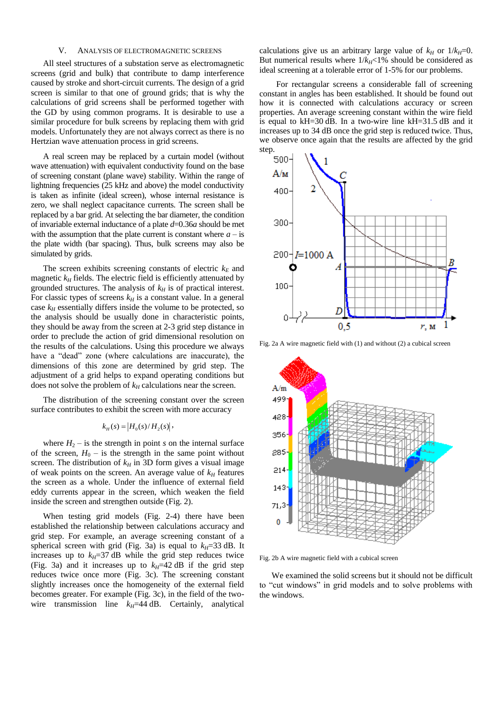## V. ANALYSIS OF ELECTROMAGNETIC SCREENS

All steel structures of a substation serve as electromagnetic screens (grid and bulk) that contribute to damp interference caused by stroke and short-circuit currents. The design of a grid screen is similar to that one of ground grids; that is why the calculations of grid screens shall be performed together with the GD by using common programs. It is desirable to use a similar procedure for bulk screens by replacing them with grid models. Unfortunately they are not always correct as there is no Hertzian wave attenuation process in grid screens.

A real screen may be replaced by a curtain model (without wave attenuation) with equivalent conductivity found on the base of screening constant (plane wave) stability. Within the range of lightning frequencies (25 kHz and above) the model conductivity is taken as infinite (ideal screen), whose internal resistance is zero, we shall neglect capacitance currents. The screen shall be replaced by a bar grid. At selecting the bar diameter, the condition of invariable external inductance of a plate *d*=0.36*a* should be met with the assumption that the plate current is constant where  $a -$  is the plate width (bar spacing). Thus, bulk screens may also be simulated by grids.

The screen exhibits screening constants of electric  $k_E$  and magnetic  $k_H$  fields. The electric field is efficiently attenuated by grounded structures. The analysis of  $k<sub>H</sub>$  is of practical interest. For classic types of screens  $k_H$  is a constant value. In a general case  $k<sub>H</sub>$  essentially differs inside the volume to be protected, so the analysis should be usually done in characteristic points, they should be away from the screen at 2-3 grid step distance in order to preclude the action of grid dimensional resolution on the results of the calculations. Using this procedure we always have a "dead" zone (where calculations are inaccurate), the dimensions of this zone are determined by grid step. The adjustment of a grid helps to expand operating conditions but does not solve the problem of  $k_H$  calculations near the screen.

The distribution of the screening constant over the screen surface contributes to exhibit the screen with more accuracy

# $k_H(s) = |H_0(s)/H_2(s)|$ ,

where  $H_2$  – is the strength in point *s* on the internal surface of the screen,  $H_0$  – is the strength in the same point without screen. The distribution of  $k<sub>H</sub>$  in 3D form gives a visual image of weak points on the screen. An average value of *k<sup>H</sup>* features the screen as a whole. Under the influence of external field eddy currents appear in the screen, which weaken the field inside the screen and strengthen outside (Fig. 2).

When testing grid models (Fig. 2-4) there have been established the relationship between calculations accuracy and grid step. For example, an average screening constant of a spherical screen with grid (Fig. 3a) is equal to  $k_H$ =33 dB. It increases up to  $k_H$ =37 dB while the grid step reduces twice (Fig. 3a) and it increases up to  $k_H$ =42 dB if the grid step reduces twice once more (Fig. 3c). The screening constant slightly increases once the homogeneity of the external field becomes greater. For example (Fig. 3c), in the field of the twowire transmission line  $k_H$ =44 dB. Certainly, analytical

calculations give us an arbitrary large value of  $k_H$  or  $1/k_H=0$ . But numerical results where  $1/k_H$ <1% should be considered as ideal screening at a tolerable error of 1-5% for our problems.

For rectangular screens a considerable fall of screening constant in angles has been established. It should be found out how it is connected with calculations accuracy or screen properties. An average screening constant within the wire field is equal to kH=30 dB. In a two-wire line kH=31.5 dB and it increases up to 34 dB once the grid step is reduced twice. Thus, we observe once again that the results are affected by the grid step.



Fig. 2a A wire magnetic field with (1) and without (2) a cubical screen



Fig. 2b A wire magnetic field with a cubical screen

We examined the solid screens but it should not be difficult to "cut windows" in grid models and to solve problems with the windows.